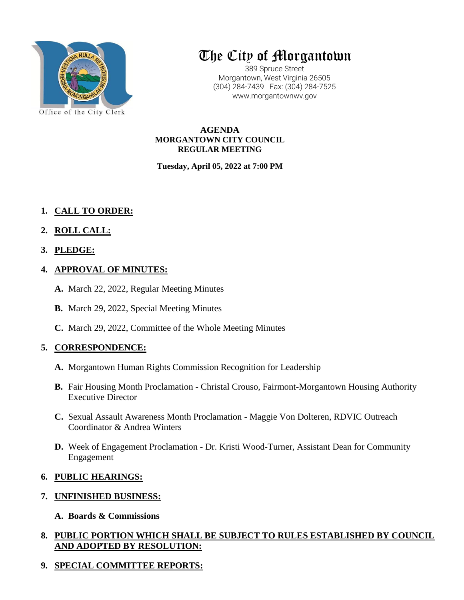

# The City of Morgantown

389 Spruce Street Morgantown, West Virginia 26505 (304) 284-7439 Fax: (304) 284-7525 www.morgantownwv.gov

**AGENDA MORGANTOWN CITY COUNCIL REGULAR MEETING**

**Tuesday, April 05, 2022 at 7:00 PM**

- **1. CALL TO ORDER:**
- **2. ROLL CALL:**
- **3. PLEDGE:**
- **4. APPROVAL OF MINUTES:**
	- **A.** March 22, 2022, Regular Meeting Minutes
	- **B.** March 29, 2022, Special Meeting Minutes
	- **C.** March 29, 2022, Committee of the Whole Meeting Minutes

# **5. CORRESPONDENCE:**

- **A.** Morgantown Human Rights Commission Recognition for Leadership
- **B.** Fair Housing Month Proclamation Christal Crouso, Fairmont-Morgantown Housing Authority Executive Director
- **C.** Sexual Assault Awareness Month Proclamation Maggie Von Dolteren, RDVIC Outreach Coordinator & Andrea Winters
- **D.** Week of Engagement Proclamation Dr. Kristi Wood-Turner, Assistant Dean for Community Engagement

## **6. PUBLIC HEARINGS:**

## **7. UNFINISHED BUSINESS:**

## **A. Boards & Commissions**

## **8. PUBLIC PORTION WHICH SHALL BE SUBJECT TO RULES ESTABLISHED BY COUNCIL AND ADOPTED BY RESOLUTION:**

# **9. SPECIAL COMMITTEE REPORTS:**